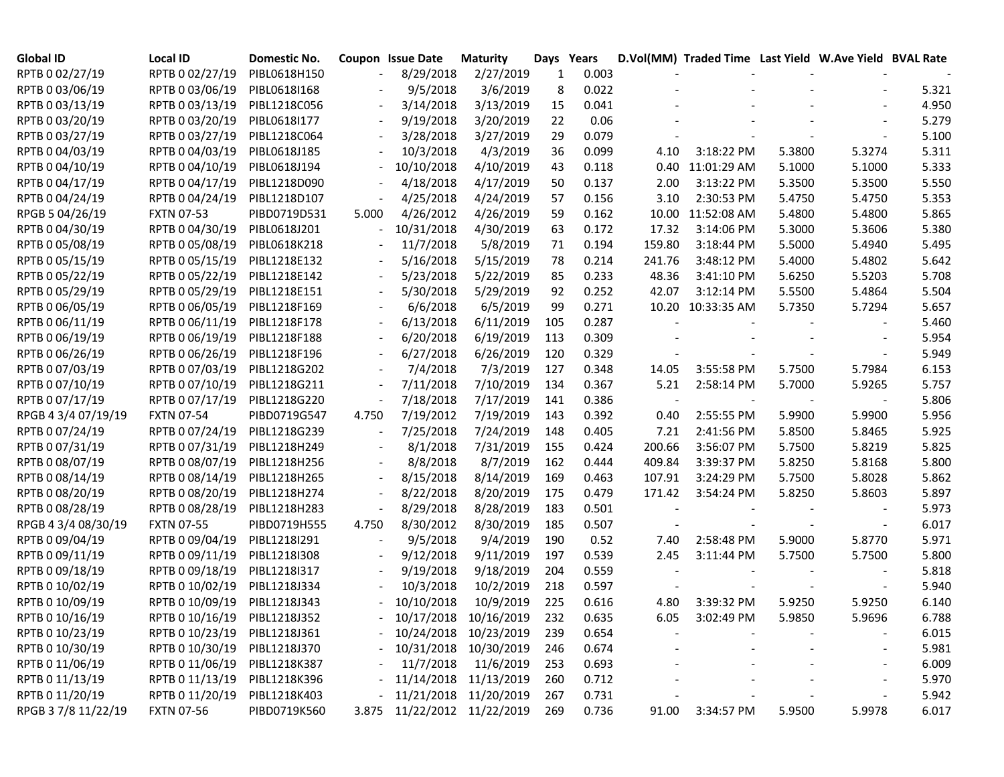| <b>Global ID</b>    | <b>Local ID</b>   | Domestic No. |       | Coupon Issue Date | <b>Maturity</b>       | Days Years |       |        | D.Vol(MM) Traded Time Last Yield W.Ave Yield BVAL Rate |        |        |       |
|---------------------|-------------------|--------------|-------|-------------------|-----------------------|------------|-------|--------|--------------------------------------------------------|--------|--------|-------|
| RPTB 0 02/27/19     | RPTB 0 02/27/19   | PIBL0618H150 |       | 8/29/2018         | 2/27/2019             | 1          | 0.003 |        |                                                        |        |        |       |
| RPTB 0 03/06/19     | RPTB 0 03/06/19   | PIBL0618I168 |       | 9/5/2018          | 3/6/2019              | 8          | 0.022 |        |                                                        |        |        | 5.321 |
| RPTB 0 03/13/19     | RPTB 0 03/13/19   | PIBL1218C056 |       | 3/14/2018         | 3/13/2019             | 15         | 0.041 |        |                                                        |        |        | 4.950 |
| RPTB 0 03/20/19     | RPTB 0 03/20/19   | PIBL0618I177 |       | 9/19/2018         | 3/20/2019             | 22         | 0.06  |        |                                                        |        |        | 5.279 |
| RPTB 0 03/27/19     | RPTB 0 03/27/19   | PIBL1218C064 |       | 3/28/2018         | 3/27/2019             | 29         | 0.079 |        |                                                        |        |        | 5.100 |
| RPTB 0 04/03/19     | RPTB 0 04/03/19   | PIBL0618J185 |       | 10/3/2018         | 4/3/2019              | 36         | 0.099 | 4.10   | 3:18:22 PM                                             | 5.3800 | 5.3274 | 5.311 |
| RPTB 0 04/10/19     | RPTB 0 04/10/19   | PIBL0618J194 |       | 10/10/2018        | 4/10/2019             | 43         | 0.118 |        | 0.40 11:01:29 AM                                       | 5.1000 | 5.1000 | 5.333 |
| RPTB 0 04/17/19     | RPTB 0 04/17/19   | PIBL1218D090 |       | 4/18/2018         | 4/17/2019             | 50         | 0.137 | 2.00   | 3:13:22 PM                                             | 5.3500 | 5.3500 | 5.550 |
| RPTB 0 04/24/19     | RPTB 0 04/24/19   | PIBL1218D107 |       | 4/25/2018         | 4/24/2019             | 57         | 0.156 | 3.10   | 2:30:53 PM                                             | 5.4750 | 5.4750 | 5.353 |
| RPGB 5 04/26/19     | <b>FXTN 07-53</b> | PIBD0719D531 | 5.000 | 4/26/2012         | 4/26/2019             | 59         | 0.162 |        | 10.00 11:52:08 AM                                      | 5.4800 | 5.4800 | 5.865 |
| RPTB 0 04/30/19     | RPTB 0 04/30/19   | PIBL0618J201 |       | 10/31/2018        | 4/30/2019             | 63         | 0.172 | 17.32  | 3:14:06 PM                                             | 5.3000 | 5.3606 | 5.380 |
| RPTB 0 05/08/19     | RPTB 0 05/08/19   | PIBL0618K218 |       | 11/7/2018         | 5/8/2019              | 71         | 0.194 | 159.80 | 3:18:44 PM                                             | 5.5000 | 5.4940 | 5.495 |
| RPTB 0 05/15/19     | RPTB 0 05/15/19   | PIBL1218E132 |       | 5/16/2018         | 5/15/2019             | 78         | 0.214 | 241.76 | 3:48:12 PM                                             | 5.4000 | 5.4802 | 5.642 |
| RPTB 0 05/22/19     | RPTB 0 05/22/19   | PIBL1218E142 |       | 5/23/2018         | 5/22/2019             | 85         | 0.233 | 48.36  | 3:41:10 PM                                             | 5.6250 | 5.5203 | 5.708 |
| RPTB 0 05/29/19     | RPTB 0 05/29/19   | PIBL1218E151 |       | 5/30/2018         | 5/29/2019             | 92         | 0.252 | 42.07  | 3:12:14 PM                                             | 5.5500 | 5.4864 | 5.504 |
| RPTB 0 06/05/19     | RPTB 0 06/05/19   | PIBL1218F169 |       | 6/6/2018          | 6/5/2019              | 99         | 0.271 |        | 10.20 10:33:35 AM                                      | 5.7350 | 5.7294 | 5.657 |
| RPTB 0 06/11/19     | RPTB 0 06/11/19   | PIBL1218F178 |       | 6/13/2018         | 6/11/2019             | 105        | 0.287 |        |                                                        |        |        | 5.460 |
| RPTB 0 06/19/19     | RPTB 0 06/19/19   | PIBL1218F188 |       | 6/20/2018         | 6/19/2019             | 113        | 0.309 |        |                                                        |        |        | 5.954 |
| RPTB 0 06/26/19     | RPTB 0 06/26/19   | PIBL1218F196 |       | 6/27/2018         | 6/26/2019             | 120        | 0.329 |        |                                                        |        |        | 5.949 |
| RPTB 0 07/03/19     | RPTB 0 07/03/19   | PIBL1218G202 |       | 7/4/2018          | 7/3/2019              | 127        | 0.348 | 14.05  | 3:55:58 PM                                             | 5.7500 | 5.7984 | 6.153 |
| RPTB 0 07/10/19     | RPTB 0 07/10/19   | PIBL1218G211 |       | 7/11/2018         | 7/10/2019             | 134        | 0.367 | 5.21   | 2:58:14 PM                                             | 5.7000 | 5.9265 | 5.757 |
| RPTB 0 07/17/19     | RPTB 0 07/17/19   | PIBL1218G220 |       | 7/18/2018         | 7/17/2019             | 141        | 0.386 |        |                                                        |        |        | 5.806 |
| RPGB 4 3/4 07/19/19 | <b>FXTN 07-54</b> | PIBD0719G547 | 4.750 | 7/19/2012         | 7/19/2019             | 143        | 0.392 | 0.40   | 2:55:55 PM                                             | 5.9900 | 5.9900 | 5.956 |
| RPTB 0 07/24/19     | RPTB 0 07/24/19   | PIBL1218G239 |       | 7/25/2018         | 7/24/2019             | 148        | 0.405 | 7.21   | 2:41:56 PM                                             | 5.8500 | 5.8465 | 5.925 |
| RPTB 0 07/31/19     | RPTB 0 07/31/19   | PIBL1218H249 |       | 8/1/2018          | 7/31/2019             | 155        | 0.424 | 200.66 | 3:56:07 PM                                             | 5.7500 | 5.8219 | 5.825 |
| RPTB 0 08/07/19     | RPTB 0 08/07/19   | PIBL1218H256 |       | 8/8/2018          | 8/7/2019              | 162        | 0.444 | 409.84 | 3:39:37 PM                                             | 5.8250 | 5.8168 | 5.800 |
| RPTB 0 08/14/19     | RPTB 0 08/14/19   | PIBL1218H265 |       | 8/15/2018         | 8/14/2019             | 169        | 0.463 | 107.91 | 3:24:29 PM                                             | 5.7500 | 5.8028 | 5.862 |
| RPTB 0 08/20/19     | RPTB 0 08/20/19   | PIBL1218H274 |       | 8/22/2018         | 8/20/2019             | 175        | 0.479 | 171.42 | 3:54:24 PM                                             | 5.8250 | 5.8603 | 5.897 |
| RPTB 0 08/28/19     | RPTB 0 08/28/19   | PIBL1218H283 |       | 8/29/2018         | 8/28/2019             | 183        | 0.501 |        |                                                        |        |        | 5.973 |
| RPGB 4 3/4 08/30/19 | <b>FXTN 07-55</b> | PIBD0719H555 | 4.750 | 8/30/2012         | 8/30/2019             | 185        | 0.507 |        |                                                        |        |        | 6.017 |
| RPTB 0 09/04/19     | RPTB 0 09/04/19   | PIBL1218I291 |       | 9/5/2018          | 9/4/2019              | 190        | 0.52  | 7.40   | 2:58:48 PM                                             | 5.9000 | 5.8770 | 5.971 |
| RPTB 0 09/11/19     | RPTB 0 09/11/19   | PIBL12181308 |       | 9/12/2018         | 9/11/2019             | 197        | 0.539 | 2.45   | 3:11:44 PM                                             | 5.7500 | 5.7500 | 5.800 |
| RPTB 0 09/18/19     | RPTB 0 09/18/19   | PIBL1218I317 |       | 9/19/2018         | 9/18/2019             | 204        | 0.559 |        |                                                        |        |        | 5.818 |
| RPTB 0 10/02/19     | RPTB 0 10/02/19   | PIBL1218J334 |       | 10/3/2018         | 10/2/2019             | 218        | 0.597 |        |                                                        |        |        | 5.940 |
| RPTB 0 10/09/19     | RPTB 0 10/09/19   | PIBL1218J343 |       | 10/10/2018        | 10/9/2019             | 225        | 0.616 | 4.80   | 3:39:32 PM                                             | 5.9250 | 5.9250 | 6.140 |
| RPTB 0 10/16/19     | RPTB 0 10/16/19   | PIBL1218J352 |       |                   | 10/17/2018 10/16/2019 | 232        | 0.635 | 6.05   | 3:02:49 PM                                             | 5.9850 | 5.9696 | 6.788 |
| RPTB 0 10/23/19     | RPTB 0 10/23/19   | PIBL1218J361 |       |                   | 10/24/2018 10/23/2019 | 239        | 0.654 |        |                                                        |        |        | 6.015 |
| RPTB 0 10/30/19     | RPTB 0 10/30/19   | PIBL1218J370 |       |                   | 10/31/2018 10/30/2019 | 246        | 0.674 |        |                                                        |        |        | 5.981 |
| RPTB 0 11/06/19     | RPTB 0 11/06/19   | PIBL1218K387 |       | 11/7/2018         | 11/6/2019             | 253        | 0.693 |        |                                                        |        |        | 6.009 |
| RPTB 0 11/13/19     | RPTB 0 11/13/19   | PIBL1218K396 |       |                   | 11/14/2018 11/13/2019 | 260        | 0.712 |        |                                                        |        |        | 5.970 |
| RPTB 0 11/20/19     | RPTB 0 11/20/19   | PIBL1218K403 |       |                   | 11/21/2018 11/20/2019 | 267        | 0.731 |        |                                                        |        |        | 5.942 |
| RPGB 37/8 11/22/19  | <b>FXTN 07-56</b> | PIBD0719K560 | 3.875 |                   | 11/22/2012 11/22/2019 | 269        | 0.736 | 91.00  | 3:34:57 PM                                             | 5.9500 | 5.9978 | 6.017 |
|                     |                   |              |       |                   |                       |            |       |        |                                                        |        |        |       |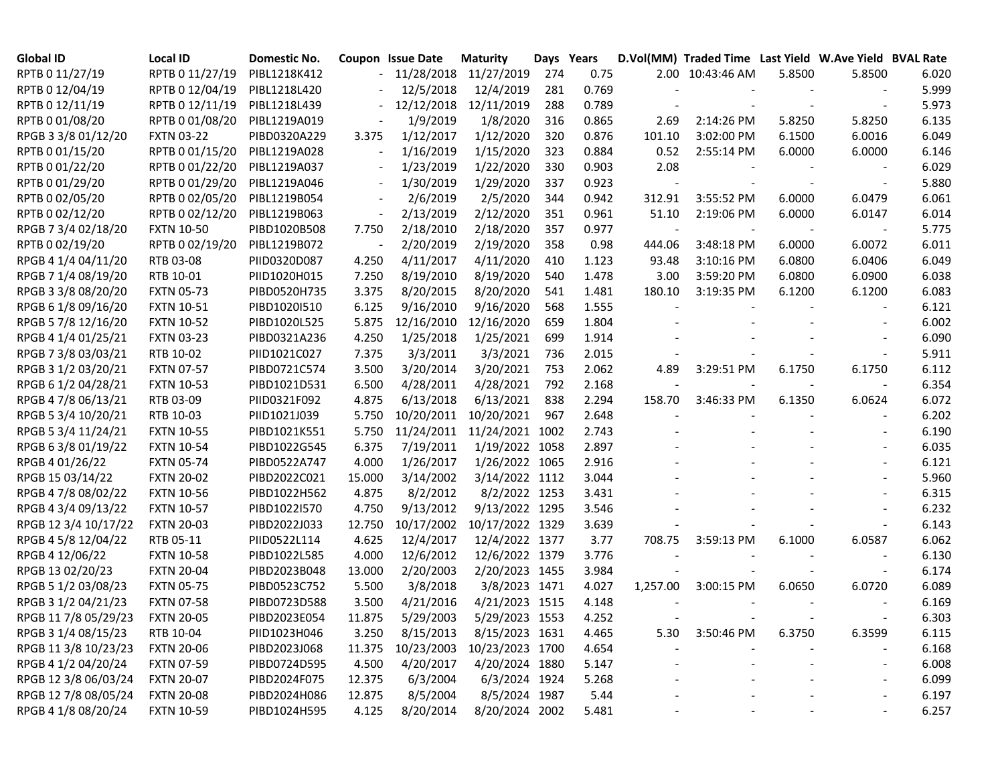| <b>Global ID</b>     | <b>Local ID</b>   | Domestic No. |                          | <b>Coupon Issue Date</b> | <b>Maturity</b>            | Days Years |       |          | D.Vol(MM) Traded Time Last Yield W.Ave Yield BVAL Rate |        |        |       |
|----------------------|-------------------|--------------|--------------------------|--------------------------|----------------------------|------------|-------|----------|--------------------------------------------------------|--------|--------|-------|
| RPTB 0 11/27/19      | RPTB 0 11/27/19   | PIBL1218K412 |                          |                          | 11/28/2018 11/27/2019      | 274        | 0.75  |          | 2.00 10:43:46 AM                                       | 5.8500 | 5.8500 | 6.020 |
| RPTB 0 12/04/19      | RPTB 0 12/04/19   | PIBL1218L420 |                          | 12/5/2018                | 12/4/2019                  | 281        | 0.769 |          |                                                        |        |        | 5.999 |
| RPTB 0 12/11/19      | RPTB 0 12/11/19   | PIBL1218L439 |                          | 12/12/2018               | 12/11/2019                 | 288        | 0.789 |          |                                                        |        |        | 5.973 |
| RPTB 0 01/08/20      | RPTB 0 01/08/20   | PIBL1219A019 |                          | 1/9/2019                 | 1/8/2020                   | 316        | 0.865 | 2.69     | 2:14:26 PM                                             | 5.8250 | 5.8250 | 6.135 |
| RPGB 3 3/8 01/12/20  | <b>FXTN 03-22</b> | PIBD0320A229 | 3.375                    | 1/12/2017                | 1/12/2020                  | 320        | 0.876 | 101.10   | 3:02:00 PM                                             | 6.1500 | 6.0016 | 6.049 |
| RPTB 0 01/15/20      | RPTB 0 01/15/20   | PIBL1219A028 | $\overline{\phantom{a}}$ | 1/16/2019                | 1/15/2020                  | 323        | 0.884 | 0.52     | 2:55:14 PM                                             | 6.0000 | 6.0000 | 6.146 |
| RPTB 0 01/22/20      | RPTB 0 01/22/20   | PIBL1219A037 |                          | 1/23/2019                | 1/22/2020                  | 330        | 0.903 | 2.08     |                                                        |        |        | 6.029 |
| RPTB 0 01/29/20      | RPTB 0 01/29/20   | PIBL1219A046 | $\qquad \qquad -$        | 1/30/2019                | 1/29/2020                  | 337        | 0.923 |          |                                                        |        |        | 5.880 |
| RPTB 0 02/05/20      | RPTB 0 02/05/20   | PIBL1219B054 | $\overline{\phantom{a}}$ | 2/6/2019                 | 2/5/2020                   | 344        | 0.942 | 312.91   | 3:55:52 PM                                             | 6.0000 | 6.0479 | 6.061 |
| RPTB 0 02/12/20      | RPTB 0 02/12/20   | PIBL1219B063 | $\overline{\phantom{a}}$ | 2/13/2019                | 2/12/2020                  | 351        | 0.961 | 51.10    | 2:19:06 PM                                             | 6.0000 | 6.0147 | 6.014 |
| RPGB 7 3/4 02/18/20  | <b>FXTN 10-50</b> | PIBD1020B508 | 7.750                    | 2/18/2010                | 2/18/2020                  | 357        | 0.977 |          |                                                        |        |        | 5.775 |
| RPTB 0 02/19/20      | RPTB 0 02/19/20   | PIBL1219B072 |                          | 2/20/2019                | 2/19/2020                  | 358        | 0.98  | 444.06   | 3:48:18 PM                                             | 6.0000 | 6.0072 | 6.011 |
| RPGB 4 1/4 04/11/20  | RTB 03-08         | PIID0320D087 | 4.250                    | 4/11/2017                | 4/11/2020                  | 410        | 1.123 | 93.48    | 3:10:16 PM                                             | 6.0800 | 6.0406 | 6.049 |
| RPGB 7 1/4 08/19/20  | RTB 10-01         | PIID1020H015 | 7.250                    | 8/19/2010                | 8/19/2020                  | 540        | 1.478 | 3.00     | 3:59:20 PM                                             | 6.0800 | 6.0900 | 6.038 |
| RPGB 3 3/8 08/20/20  | <b>FXTN 05-73</b> | PIBD0520H735 | 3.375                    | 8/20/2015                | 8/20/2020                  | 541        | 1.481 | 180.10   | 3:19:35 PM                                             | 6.1200 | 6.1200 | 6.083 |
| RPGB 6 1/8 09/16/20  | <b>FXTN 10-51</b> | PIBD1020I510 | 6.125                    | 9/16/2010                | 9/16/2020                  | 568        | 1.555 |          |                                                        |        |        | 6.121 |
| RPGB 5 7/8 12/16/20  | <b>FXTN 10-52</b> | PIBD1020L525 | 5.875                    | 12/16/2010               | 12/16/2020                 | 659        | 1.804 |          |                                                        |        |        | 6.002 |
| RPGB 4 1/4 01/25/21  | <b>FXTN 03-23</b> | PIBD0321A236 | 4.250                    | 1/25/2018                | 1/25/2021                  | 699        | 1.914 |          |                                                        |        |        | 6.090 |
| RPGB 7 3/8 03/03/21  | RTB 10-02         | PIID1021C027 | 7.375                    | 3/3/2011                 | 3/3/2021                   | 736        | 2.015 |          |                                                        |        |        | 5.911 |
| RPGB 3 1/2 03/20/21  | <b>FXTN 07-57</b> | PIBD0721C574 | 3.500                    | 3/20/2014                | 3/20/2021                  | 753        | 2.062 | 4.89     | 3:29:51 PM                                             | 6.1750 | 6.1750 | 6.112 |
| RPGB 6 1/2 04/28/21  | <b>FXTN 10-53</b> | PIBD1021D531 | 6.500                    | 4/28/2011                | 4/28/2021                  | 792        | 2.168 |          |                                                        |        |        | 6.354 |
| RPGB 4 7/8 06/13/21  | RTB 03-09         | PIID0321F092 | 4.875                    | 6/13/2018                | 6/13/2021                  | 838        | 2.294 | 158.70   | 3:46:33 PM                                             | 6.1350 | 6.0624 | 6.072 |
| RPGB 5 3/4 10/20/21  | RTB 10-03         | PIID1021J039 | 5.750                    | 10/20/2011               | 10/20/2021                 | 967        | 2.648 |          |                                                        |        |        | 6.202 |
| RPGB 5 3/4 11/24/21  | <b>FXTN 10-55</b> | PIBD1021K551 | 5.750                    | 11/24/2011               | 11/24/2021 1002            |            | 2.743 |          |                                                        |        |        | 6.190 |
| RPGB 63/8 01/19/22   | <b>FXTN 10-54</b> | PIBD1022G545 | 6.375                    | 7/19/2011                | 1/19/2022 1058             |            | 2.897 |          |                                                        |        |        | 6.035 |
| RPGB 4 01/26/22      | <b>FXTN 05-74</b> | PIBD0522A747 | 4.000                    | 1/26/2017                | 1/26/2022 1065             |            | 2.916 |          |                                                        |        |        | 6.121 |
| RPGB 15 03/14/22     | <b>FXTN 20-02</b> | PIBD2022C021 | 15.000                   | 3/14/2002                | 3/14/2022 1112             |            | 3.044 |          |                                                        |        |        | 5.960 |
| RPGB 4 7/8 08/02/22  | <b>FXTN 10-56</b> | PIBD1022H562 | 4.875                    | 8/2/2012                 | 8/2/2022 1253              |            | 3.431 |          |                                                        |        |        | 6.315 |
| RPGB 4 3/4 09/13/22  | <b>FXTN 10-57</b> | PIBD1022I570 | 4.750                    | 9/13/2012                | 9/13/2022 1295             |            | 3.546 |          |                                                        |        |        | 6.232 |
| RPGB 12 3/4 10/17/22 | <b>FXTN 20-03</b> | PIBD2022J033 | 12.750                   | 10/17/2002               | 10/17/2022 1329            |            | 3.639 |          |                                                        |        |        | 6.143 |
| RPGB 4 5/8 12/04/22  | RTB 05-11         | PIID0522L114 | 4.625                    | 12/4/2017                | 12/4/2022 1377             |            | 3.77  | 708.75   | 3:59:13 PM                                             | 6.1000 | 6.0587 | 6.062 |
| RPGB 4 12/06/22      | <b>FXTN 10-58</b> | PIBD1022L585 | 4.000                    | 12/6/2012                | 12/6/2022 1379             |            | 3.776 |          |                                                        |        |        | 6.130 |
| RPGB 13 02/20/23     | <b>FXTN 20-04</b> | PIBD2023B048 | 13.000                   | 2/20/2003                | 2/20/2023 1455             |            | 3.984 |          |                                                        |        |        | 6.174 |
| RPGB 5 1/2 03/08/23  | <b>FXTN 05-75</b> | PIBD0523C752 | 5.500                    | 3/8/2018                 | 3/8/2023 1471              |            | 4.027 | 1,257.00 | 3:00:15 PM                                             | 6.0650 | 6.0720 | 6.089 |
| RPGB 3 1/2 04/21/23  | <b>FXTN 07-58</b> | PIBD0723D588 | 3.500                    | 4/21/2016                | 4/21/2023 1515             |            | 4.148 |          |                                                        |        |        | 6.169 |
| RPGB 11 7/8 05/29/23 | <b>FXTN 20-05</b> | PIBD2023E054 | 11.875                   | 5/29/2003                | 5/29/2023 1553             |            | 4.252 |          |                                                        |        |        | 6.303 |
| RPGB 3 1/4 08/15/23  | RTB 10-04         | PIID1023H046 | 3.250                    | 8/15/2013                | 8/15/2023 1631             |            | 4.465 | 5.30     | 3:50:46 PM                                             | 6.3750 | 6.3599 | 6.115 |
| RPGB 11 3/8 10/23/23 | <b>FXTN 20-06</b> | PIBD2023J068 | 11.375                   |                          | 10/23/2003 10/23/2023 1700 |            | 4.654 |          |                                                        |        |        | 6.168 |
| RPGB 4 1/2 04/20/24  | <b>FXTN 07-59</b> | PIBD0724D595 | 4.500                    | 4/20/2017                | 4/20/2024 1880             |            | 5.147 |          |                                                        |        |        | 6.008 |
| RPGB 12 3/8 06/03/24 | <b>FXTN 20-07</b> | PIBD2024F075 | 12.375                   | 6/3/2004                 | 6/3/2024 1924              |            | 5.268 |          |                                                        |        |        | 6.099 |
| RPGB 12 7/8 08/05/24 | <b>FXTN 20-08</b> | PIBD2024H086 | 12.875                   | 8/5/2004                 | 8/5/2024 1987              |            | 5.44  |          |                                                        |        |        | 6.197 |
| RPGB 4 1/8 08/20/24  | <b>FXTN 10-59</b> | PIBD1024H595 | 4.125                    | 8/20/2014                | 8/20/2024 2002             |            | 5.481 |          |                                                        |        |        | 6.257 |